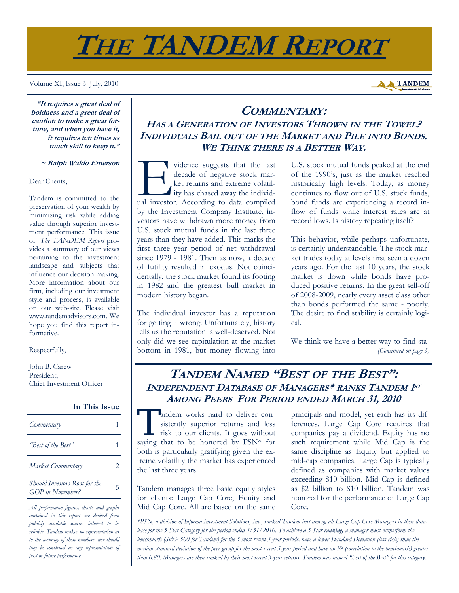# **THE TANDEM REPORT**

Volume XI, Issue 3 July, 2010

# **A TANDEM**

**"It requires a great deal of boldness and a great deal of caution to make a great fortune, and when you have it, it requires ten times as much skill to keep it."** 

#### **~ Ralph Waldo Emerson**

#### Dear Clients,

Tandem is committed to the preservation of your wealth by minimizing risk while adding value through superior investment performance. This issue of *The TANDEM Report* provides a summary of our views pertaining to the investment landscape and subjects that influence our decision making. More information about our firm, including our investment style and process, is available on our web-site. Please visit www.tandemadvisors.com. We hope you find this report informative.

Respectfully,

John B. Carew President, Chief Investment Officer

#### **In This Issue**

| Commentary                                                      |    |
|-----------------------------------------------------------------|----|
| "Best of the Best"                                              |    |
| Market Commentary                                               | 2. |
| <b>Should Investors Root for the</b><br><b>GOP</b> in November? | 5  |

*All performance figures, charts and graphs contained in this report are derived from publicly available sources believed to be reliable. Tandem makes no representation as to the accuracy of these numbers, nor should they be construed as any representation of past or future performance.* 

## **COMMENTARY: HAS A GENERATION OF INVESTORS THROWN IN THE TOWEL? INDIVIDUALS BAIL OUT OF THE MARKET AND PILE INTO BONDS. WE THINK THERE IS A BETTER WAY.**

vidence suggests that the last<br>decade of negative stock mar-<br>ket returns and extreme volatil-<br>ity has chased away the individ-<br>ual investor. According to data compiled decade of negative stock market returns and extreme volatility has chased away the individby the Investment Company Institute, investors have withdrawn more money from U.S. stock mutual funds in the last three years than they have added. This marks the first three year period of net withdrawal since 1979 - 1981. Then as now, a decade of futility resulted in exodus. Not coincidentally, the stock market found its footing in 1982 and the greatest bull market in modern history began.

The individual investor has a reputation for getting it wrong. Unfortunately, history tells us the reputation is well-deserved. Not only did we see capitulation at the market bottom in 1981, but money flowing into U.S. stock mutual funds peaked at the end of the 1990's, just as the market reached historically high levels. Today, as money continues to flow out of U.S. stock funds, bond funds are experiencing a record inflow of funds while interest rates are at record lows. Is history repeating itself?

This behavior, while perhaps unfortunate, is certainly understandable. The stock market trades today at levels first seen a dozen years ago. For the last 10 years, the stock market is down while bonds have produced positive returns. In the great sell-off of 2008-2009, nearly every asset class other than bonds performed the same - poorly. The desire to find stability is certainly logical.

We think we have a better way to find sta- *(Continued on page 3)* 

## **TANDEM NAMED "BEST OF THE BEST": INDEPENDENT DATABASE OF MANAGERS\* RANKS TANDEM 1ST AMONG PEERS FOR PERIOD ENDED MARCH 31, 2010**

T andem works hard to deliver consistently superior returns and less risk to our clients. It goes without sistently superior returns and less saying that to be honored by PSN\* for both is particularly gratifying given the extreme volatility the market has experienced the last three years.

Tandem manages three basic equity styles for clients: Large Cap Core, Equity and Mid Cap Core. All are based on the same

principals and model, yet each has its differences. Large Cap Core requires that companies pay a dividend. Equity has no such requirement while Mid Cap is the same discipline as Equity but applied to mid-cap companies. Large Cap is typically defined as companies with market values exceeding \$10 billion. Mid Cap is defined as \$2 billion to \$10 billion. Tandem was honored for the performance of Large Cap Core.

*\*PSN, a division of Informa Investment Solutions, Inc., ranked Tandem best among all Large Cap Core Managers in their database for the 5 Star Category for the period ended 3/31/2010. To achieve a 5 Star ranking, a manager must outperform the benchmark (S&P 500 for Tandem) for the 3 most recent 3-year periods, have a lower Standard Deviation (less risk) than the median standard deviation of the peer group for the most recent 5-year period and have an R2 (correlation to the benchmark) greater than 0.80. Managers are then ranked by their most recent 3-year returns. Tandem was named "Best of the Best" for this category.*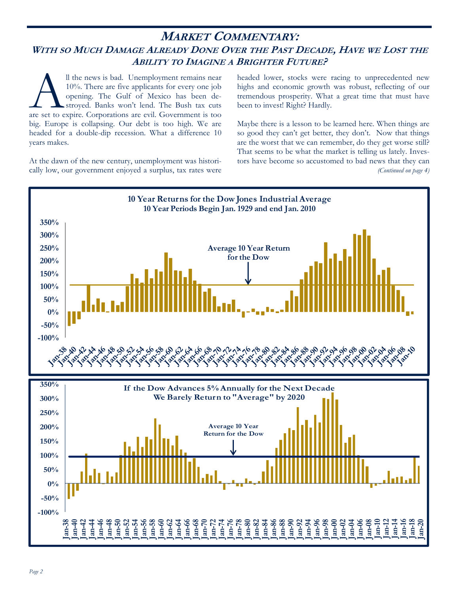## **MARKET COMMENTARY:**  WITH SO MUCH DAMAGE ALREADY DONE OVER THE PAST DECADE, HAVE WE LOST THE **ABILITY TO IMAGINE A BRIGHTER FUTURE?**

Il the news is bad. Unemployment remains near 10%. There are five applicants for every one job opening. The Gulf of Mexico has been destroyed. Banks won't lend. The Bush tax cuts are set to expire. Corporations are evil. G 10%. There are five applicants for every one job opening. The Gulf of Mexico has been destroyed. Banks won't lend. The Bush tax cuts big. Europe is collapsing. Our debt is too high. We are headed for a double-dip recession. What a difference 10 years makes.

At the dawn of the new century, unemployment was historically low, our government enjoyed a surplus, tax rates were

headed lower, stocks were racing to unprecedented new highs and economic growth was robust, reflecting of our tremendous prosperity. What a great time that must have been to invest! Right? Hardly.

Maybe there is a lesson to be learned here. When things are so good they can't get better, they don't. Now that things are the worst that we can remember, do they get worse still? That seems to be what the market is telling us lately. Investors have become so accustomed to bad news that they can *(Continued on page 4)* 

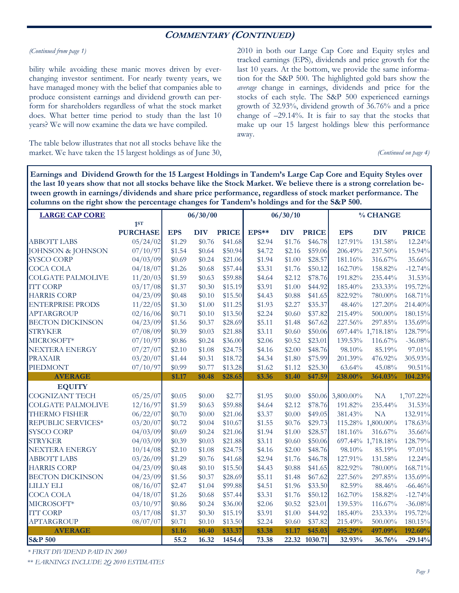## **COMMENTARY (CONTINUED)**

#### *(Continued from page 1)*

bility while avoiding these manic moves driven by everchanging investor sentiment. For nearly twenty years, we have managed money with the belief that companies able to produce consistent earnings and dividend growth can perform for shareholders regardless of what the stock market does. What better time period to study than the last 10 years? We will now examine the data we have compiled.

The table below illustrates that not all stocks behave like the market. We have taken the 15 largest holdings as of June 30, 2010 in both our Large Cap Core and Equity styles and tracked earnings (EPS), dividends and price growth for the last 10 years. At the bottom, we provide the same information for the S&P 500. The highlighted gold bars show the *average* change in earnings, dividends and price for the stocks of each style. The S&P 500 experienced earnings growth of 32.93%, dividend growth of 36.76% and a price change of –29.14%. It is fair to say that the stocks that make up our 15 largest holdings blew this performance away.

*(Continued on page 4)* 

**Earnings and Dividend Growth for the 15 Largest Holdings in Tandem's Large Cap Core and Equity Styles over the last 10 years show that not all stocks behave like the Stock Market. We believe there is a strong correlation between growth in earnings/dividends and share price performance, regardless of stock market performance. The columns on the right show the percentage changes for Tandem's holdings and for the S&P 500.** 

| <b>LARGE CAP CORE</b>        |                 |            | 06/30/00   |              |        | 06/30/10   |               | % CHANGE          |                   |              |
|------------------------------|-----------------|------------|------------|--------------|--------|------------|---------------|-------------------|-------------------|--------------|
|                              | 1ST             |            |            |              |        |            |               |                   |                   |              |
|                              | <b>PURCHASE</b> | <b>EPS</b> | <b>DIV</b> | <b>PRICE</b> | EPS**  | <b>DIV</b> | <b>PRICE</b>  | <b>EPS</b>        | <b>DIV</b>        | <b>PRICE</b> |
| <b>ABBOTT LABS</b>           | 05/24/02        | \$1.29     | \$0.76     | \$41.68      | \$2.94 | \$1.76     | \$46.78       | 127.91%           | 131.58%           | 12.24%       |
| <b>JOHNSON &amp; JOHNSON</b> | 07/10/97        | \$1.54     | \$0.64     | \$50.94      | \$4.72 | \$2.16     | \$59.06       | 206.49%           | 237.50%           | 15.94%       |
| <b>SYSCO CORP</b>            | 04/03/09        | \$0.69     | \$0.24     | \$21.06      | \$1.94 | \$1.00     | \$28.57       | 181.16%           | 316.67%           | 35.66%       |
| <b>COCA COLA</b>             | 04/18/07        | \$1.26     | \$0.68     | \$57.44      | \$3.31 | \$1.76     | \$50.12       | 162.70%           | 158.82%           | $-12.74%$    |
| <b>COLGATE PALMOLIVE</b>     | 11/20/03        | \$1.59     | \$0.63     | \$59.88      | \$4.64 | \$2.12     | \$78.76       | 191.82%           | 235.44%           | 31.53%       |
| <b>ITT CORP</b>              | 03/17/08        | \$1.37     | \$0.30     | \$15.19      | \$3.91 | \$1.00     | \$44.92       | 185.40%           | 233.33%           | 195.72%      |
| <b>HARRIS CORP</b>           | 04/23/09        | \$0.48     | \$0.10     | \$15.50      | \$4.43 | \$0.88     | \$41.65       | 822.92%           | 780.00%           | 168.71%      |
| <b>ENTERPRISE PRODS</b>      | 11/22/05        | \$1.30     | \$1.00     | \$11.25      | \$1.93 | \$2.27     | \$35.37       | 48.46%            | 127.20%           | 214.40%      |
| <b>APTARGROUP</b>            | 02/16/06        | \$0.71     | \$0.10     | \$13.50      | \$2.24 | \$0.60     | \$37.82       | 215.49%           | 500.00%           | 180.15%      |
| <b>BECTON DICKINSON</b>      | 04/23/09        | \$1.56     | \$0.37     | \$28.69      | \$5.11 | \$1.48     | \$67.62       | 227.56%           | 297.85%           | 135.69%      |
| <b>STRYKER</b>               | 07/08/09        | \$0.39     | \$0.03     | \$21.88      | \$3.11 | \$0.60     | \$50.06       |                   | 697.44% 1,718.18% | 128.79%      |
| MICROSOFT*                   | 07/10/97        | \$0.86     | \$0.24     | \$36.00      | \$2.06 | \$0.52     | \$23.01       | 139.53%           | 116.67%           | $-36.08%$    |
| <b>NEXTERA ENERGY</b>        | 07/27/07        | \$2.10     | \$1.08     | \$24.75      | \$4.16 | \$2.00     | \$48.76       | 98.10%            | 85.19%            | 97.01%       |
| <b>PRAXAIR</b>               | 03/20/07        | \$1.44     | \$0.31     | \$18.72      | \$4.34 | \$1.80     | \$75.99       | 201.39%           | 476.92%           | 305.93%      |
| PIEDMONT                     | 07/10/97        | \$0.99     | \$0.77     | \$13.28      | \$1.62 | \$1.12     | \$25.30       | 63.64%            | 45.08%            | 90.51%       |
| <b>AVERAGE</b>               |                 | \$1.17     | \$0.48     | \$28.65      | \$3.36 | \$1.40     | \$47.59       | 238.00%           | 364.03%           | 104.23%      |
| <b>EQUITY</b>                |                 |            |            |              |        |            |               |                   |                   |              |
| <b>COGNIZANT TECH</b>        | 05/25/07        | \$0.05     | \$0.00     | \$2.77       | \$1.95 | \$0.00     |               | \$50.06 3,800.00% | NA                | 1,707.22%    |
| <b>COLGATE PALMOLIVE</b>     | 12/16/97        | \$1.59     | \$0.63     | \$59.88      | \$4.64 | \$2.12     | \$78.76       | 191.82%           | 235.44%           | 31.53%       |
| <b>THERMO FISHER</b>         | 06/22/07        | \$0.70     | \$0.00     | \$21.06      | \$3.37 | \$0.00     | \$49.05       | 381.43%           | NA                | 132.91%      |
| REPUBLIC SERVICES*           | 03/20/07        | \$0.72     | \$0.04     | \$10.67      | \$1.55 | \$0.76     | \$29.73       |                   | 115.28% 1,800.00% | 178.63%      |
| <b>SYSCO CORP</b>            | 04/03/09        | \$0.69     | \$0.24     | \$21.06      | \$1.94 | \$1.00     | \$28.57       | 181.16%           | 316.67%           | 35.66%       |
| <b>STRYKER</b>               | 04/03/09        | \$0.39     | \$0.03     | \$21.88      | \$3.11 | \$0.60     | \$50.06       |                   | 697.44% 1,718.18% | 128.79%      |
| <b>NEXTERA ENERGY</b>        | 10/14/08        | \$2.10     | \$1.08     | \$24.75      | \$4.16 | \$2.00     | \$48.76       | 98.10%            | 85.19%            | 97.01%       |
| <b>ABBOTT LABS</b>           | 03/26/09        | \$1.29     | \$0.76     | \$41.68      | \$2.94 | \$1.76     | \$46.78       | 127.91%           | 131.58%           | 12.24%       |
| <b>HARRIS CORP</b>           | 04/23/09        | \$0.48     | \$0.10     | \$15.50      | \$4.43 | \$0.88     | \$41.65       | 822.92%           | 780.00%           | 168.71%      |
| <b>BECTON DICKINSON</b>      | 04/23/09        | \$1.56     | \$0.37     | \$28.69      | \$5.11 | \$1.48     | \$67.62       | 227.56%           | 297.85%           | 135.69%      |
| <b>LILLY ELI</b>             | 08/16/07        | \$2.47     | \$1.04     | \$99.88      | \$4.51 | \$1.96     | \$33.50       | 82.59%            | 88.46%            | $-66.46%$    |
| <b>COCA COLA</b>             | 04/18/07        | \$1.26     | \$0.68     | \$57.44      | \$3.31 | \$1.76     | \$50.12       | 162.70%           | 158.82%           | $-12.74%$    |
| MICROSOFT*                   | 03/10/97        | \$0.86     | \$0.24     | \$36.00      | \$2.06 | \$0.52     | \$23.01       | 139.53%           | 116.67%           | $-36.08%$    |
| <b>ITT CORP</b>              | 03/17/08        | \$1.37     | \$0.30     | \$15.19      | \$3.91 | \$1.00     | \$44.92       | 185.40%           | 233.33%           | 195.72%      |
| <b>APTARGROUP</b>            | 08/07/07        | \$0.71     | \$0.10     | \$13.50      | \$2.24 | \$0.60     | \$37.82       | 215.49%           | 500.00%           | 180.15%      |
| <b>AVERAGE</b>               |                 | \$1.16     | \$0.40     | \$33.37      | \$3.38 | \$1.17     | \$45.03       | 495.29%           | 497.09%           | 192.60%      |
| <b>S&amp;P 500</b>           |                 | 55.2       | 16.32      | 1454.6       | 73.38  |            | 22.32 1030.71 | 32.93%            | 36.76%            | $-29.14%$    |

*\* FIRST DIVIDEND PAID IN 2003* 

\*\* *EARNINGS INCLUDE 2Q 2010 ESTIMATES*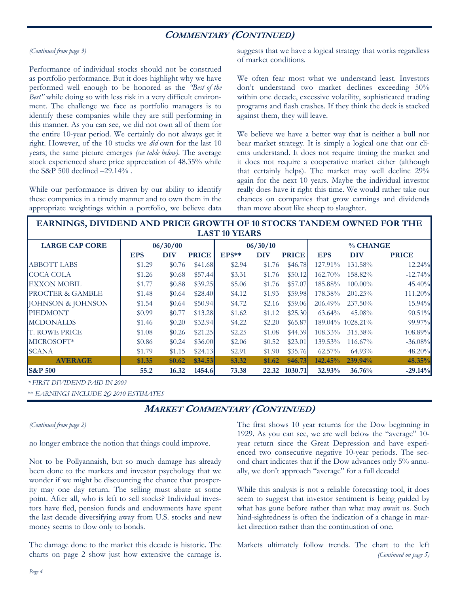## **COMMENTARY (CONTINUED)**

#### *(Continued from page 3)*

Performance of individual stocks should not be construed as portfolio performance. But it does highlight why we have performed well enough to be honored as the *"Best of the Best"* while doing so with less risk in a very difficult environment. The challenge we face as portfolio managers is to identify these companies while they are still performing in this manner. As you can see, we did not own all of them for the entire 10-year period. We certainly do not always get it right. However, of the 10 stocks we *did* own for the last 10 years, the same picture emerges *(see table below)*. The average stock experienced share price appreciation of 48.35% while the S&P 500 declined –29.14% .

While our performance is driven by our ability to identify these companies in a timely manner and to own them in the appropriate weightings within a portfolio, we believe data

suggests that we have a logical strategy that works regardless of market conditions.

We often fear most what we understand least. Investors don't understand two market declines exceeding 50% within one decade, excessive volatility, sophisticated trading programs and flash crashes. If they think the deck is stacked against them, they will leave.

We believe we have a better way that is neither a bull nor bear market strategy. It is simply a logical one that our clients understand. It does not require timing the market and it does not require a cooperative market either (although that certainly helps). The market may well decline 29% again for the next 10 years. Maybe the individual investor really does have it right this time. We would rather take our chances on companies that grow earnings and dividends than move about like sheep to slaughter.

### **EARNINGS, DIVIDEND AND PRICE GROWTH OF 10 STOCKS TANDEM OWNED FOR THE LAST 10 YEARS**

| <b>LARGE CAP CORE</b> | 06/30/00   |            |              | 06/30/10 |            |              | % CHANGE   |                  |              |  |
|-----------------------|------------|------------|--------------|----------|------------|--------------|------------|------------------|--------------|--|
|                       | <b>EPS</b> | <b>DIV</b> | <b>PRICE</b> | $EPS**$  | <b>DIV</b> | <b>PRICE</b> | <b>EPS</b> | <b>DIV</b>       | <b>PRICE</b> |  |
| <b>ABBOTT LABS</b>    | \$1.29     | \$0.76     | \$41.68      | \$2.94   | \$1.76     | \$46.78      | 127.91%    | 131.58%          | 12.24%       |  |
| COCA COLA             | \$1.26     | \$0.68     | \$57.44      | \$3.31   | \$1.76     | \$50.12      | 162.70%    | 158.82%          | $-12.74%$    |  |
| EXXON MOBIL           | \$1.77     | \$0.88     | \$39.25      | \$5.06   | \$1.76     | \$57.07      | 185.88%    | $100.00\%$       | $45.40\%$    |  |
| PROCTER & GAMBLE      | \$1.48     | \$0.64     | \$28.40      | \$4.12   | \$1.93     | \$59.98      | 178.38%    | $201.25\%$       | 111.20%      |  |
| JOHNSON & JOHNSON     | \$1.54     | \$0.64     | \$50.94      | \$4.72   | \$2.16     | \$59.06      | 206.49%    | $237.50\%$       | 15.94%       |  |
| <b>PIEDMONT</b>       | \$0.99     | \$0.77     | \$13.28      | \$1.62   | \$1.12     | \$25.30      | $63.64\%$  | 45.08%           | $90.51\%$    |  |
| <b>MCDONALDS</b>      | \$1.46     | \$0.20     | \$32.94      | \$4.22   | \$2.20     | \$65.87      |            | 189.04% 1028.21% | $99.97\%$    |  |
| <b>T. ROWE PRICE</b>  | \$1.08     | \$0.26     | \$21.25      | \$2.25   | \$1.08     | \$44.39      | 108.33%    | 315.38%          | 108.89%      |  |
| MICROSOFT*            | \$0.86     | \$0.24     | \$36.00      | \$2.06   | \$0.52     | \$23.01      | 139.53%    | $116.67\%$       | $-36.08%$    |  |
| <b>SCANA</b>          | \$1.79     | \$1.15     | \$24.13      | \$2.91   | \$1.90     | \$35.76      | $62.57\%$  | 64.93%           | $48.20\%$    |  |
| <b>AVERAGE</b>        | \$1.35     | \$0.62     | \$34.53      | \$3.32   | \$1.62     | \$46.73      | 142.45%    | 239.94%          | 48.35%       |  |
| <b>S&amp;P 500</b>    | 55.2       | 16.32      | 1454.6       | 73.38    | 22.32      | 1030.71      | 32.93%     | 36.76%           | $-29.14%$    |  |

*\* FIRST DIVIDEND PAID IN 2003* 

\*\* *EARNINGS INCLUDE 2Q 2010 ESTIMATES* 

## **MARKET COMMENTARY (CONTINUED)**

#### *(Continued from page 2)*

no longer embrace the notion that things could improve.

Not to be Pollyannaish, but so much damage has already been done to the markets and investor psychology that we wonder if we might be discounting the chance that prosperity may one day return. The selling must abate at some point. After all, who is left to sell stocks? Individual investors have fled, pension funds and endowments have spent the last decade diversifying away from U.S. stocks and new money seems to flow only to bonds.

The damage done to the market this decade is historic. The charts on page 2 show just how extensive the carnage is.

The first shows 10 year returns for the Dow beginning in 1929. As you can see, we are well below the "average" 10 year return since the Great Depression and have experienced two consecutive negative 10-year periods. The second chart indicates that if the Dow advances only 5% annually, we don't approach "average" for a full decade!

While this analysis is not a reliable forecasting tool, it does seem to suggest that investor sentiment is being guided by what has gone before rather than what may await us. Such hind-sightedness is often the indication of a change in market direction rather than the continuation of one.

Markets ultimately follow trends. The chart to the left *(Continued on page 5)*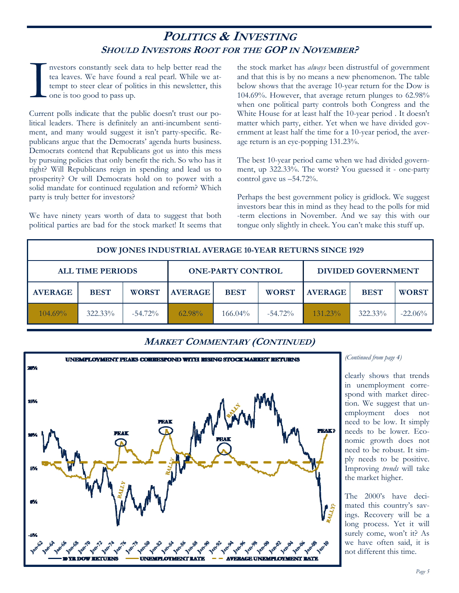## **POLITICS & INVESTING SHOULD INVESTORS ROOT FOR THE GOP IN NOVEMBER?**

I nvestors constantly seek data to help better read the tea leaves. We have found a real pearl. While we attempt to steer clear of politics in this newsletter, this one is too good to pass up. tea leaves. We have found a real pearl. While we attempt to steer clear of politics in this newsletter, this one is too good to pass up.

Current polls indicate that the public doesn't trust our political leaders. There is definitely an anti-incumbent sentiment, and many would suggest it isn't party-specific. Republicans argue that the Democrats' agenda hurts business. Democrats contend that Republicans got us into this mess by pursuing policies that only benefit the rich. So who has it right? Will Republicans reign in spending and lead us to prosperity? Or will Democrats hold on to power with a solid mandate for continued regulation and reform? Which party is truly better for investors?

We have ninety years worth of data to suggest that both political parties are bad for the stock market! It seems that the stock market has *always* been distrustful of government and that this is by no means a new phenomenon. The table below shows that the average 10-year return for the Dow is 104.69%. However, that average return plunges to 62.98% when one political party controls both Congress and the White House for at least half the 10-year period . It doesn't matter which party, either. Yet when we have divided government at least half the time for a 10-year period, the average return is an eye-popping 131.23%.

The best 10-year period came when we had divided government, up 322.33%. The worst? You guessed it - one-party control gave us –54.72%.

Perhaps the best government policy is gridlock. We suggest investors bear this in mind as they head to the polls for mid -term elections in November. And we say this with our tongue only slightly in cheek. You can't make this stuff up.

| <b>DOW JONES INDUSTRIAL AVERAGE 10-YEAR RETURNS SINCE 1929</b> |             |                                                     |                |             |              |                           |             |              |  |  |
|----------------------------------------------------------------|-------------|-----------------------------------------------------|----------------|-------------|--------------|---------------------------|-------------|--------------|--|--|
|                                                                |             | <b>ALL TIME PERIODS</b><br><b>ONE-PARTY CONTROL</b> |                |             |              | <b>DIVIDED GOVERNMENT</b> |             |              |  |  |
| <b>AVERAGE</b>                                                 | <b>BEST</b> | <b>WORST</b>                                        | <b>AVERAGE</b> | <b>BEST</b> | <b>WORST</b> | <b>AVERAGE</b>            | <b>BEST</b> | <b>WORST</b> |  |  |
| $104.69\%$                                                     | $322.33\%$  | $-54.72\%$                                          | $62.98\%$      | $166.04\%$  | $-54.72\%$   | $131.23\%$                | 322.33%     | $-22.06%$    |  |  |

## **MARKET COMMENTARY (CONTINUED)**



#### *(Continued from page 4)*

clearly shows that trends in unemployment correspond with market direction. We suggest that unemployment does not need to be low. It simply needs to be lower. Economic growth does not need to be robust. It simply needs to be positive. Improving *trends* will take the market higher.

The 2000's have decimated this country's savings. Recovery will be a long process. Yet it will surely come, won't it? As we have often said, it is not different this time.